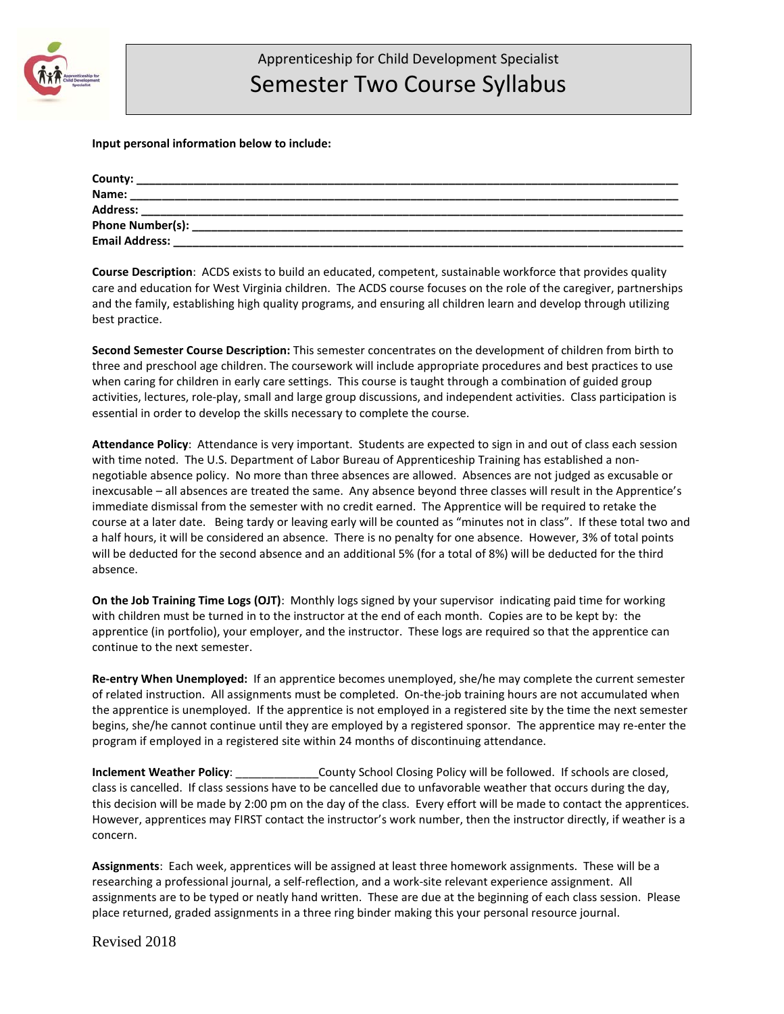

## **Input personal information below to include:**

| County:               |                                                                      |  |
|-----------------------|----------------------------------------------------------------------|--|
| Name:                 | <u> 1990 - Johann Barn, mars an t-Amerikaansk politiker (* 1905)</u> |  |
| Address:              |                                                                      |  |
| Phone Number(s):      |                                                                      |  |
| <b>Email Address:</b> |                                                                      |  |

**Course Description**: ACDS exists to build an educated, competent, sustainable workforce that provides quality care and education for West Virginia children. The ACDS course focuses on the role of the caregiver, partnerships and the family, establishing high quality programs, and ensuring all children learn and develop through utilizing best practice.

**Second Semester Course Description:** This semester concentrates on the development of children from birth to three and preschool age children. The coursework will include appropriate procedures and best practices to use when caring for children in early care settings. This course is taught through a combination of guided group activities, lectures, role-play, small and large group discussions, and independent activities. Class participation is essential in order to develop the skills necessary to complete the course.

**Attendance Policy**: Attendance is very important. Students are expected to sign in and out of class each session with time noted. The U.S. Department of Labor Bureau of Apprenticeship Training has established a nonnegotiable absence policy. No more than three absences are allowed. Absences are not judged as excusable or inexcusable – all absences are treated the same. Any absence beyond three classes will result in the Apprentice's immediate dismissal from the semester with no credit earned. The Apprentice will be required to retake the course at a later date. Being tardy or leaving early will be counted as "minutes not in class". If these total two and a half hours, it will be considered an absence. There is no penalty for one absence. However, 3% of total points will be deducted for the second absence and an additional 5% (for a total of 8%) will be deducted for the third absence.

**On the Job Training Time Logs (OJT)**: Monthly logs signed by your supervisor indicating paid time for working with children must be turned in to the instructor at the end of each month. Copies are to be kept by: the apprentice (in portfolio), your employer, and the instructor. These logs are required so that the apprentice can continue to the next semester.

**Re-entry When Unemployed:** If an apprentice becomes unemployed, she/he may complete the current semester of related instruction. All assignments must be completed. On-the-job training hours are not accumulated when the apprentice is unemployed. If the apprentice is not employed in a registered site by the time the next semester begins, she/he cannot continue until they are employed by a registered sponsor. The apprentice may re-enter the program if employed in a registered site within 24 months of discontinuing attendance.

**Inclement Weather Policy**: \_\_\_\_\_\_\_\_\_\_\_\_\_County School Closing Policy will be followed. If schools are closed, class is cancelled. If class sessions have to be cancelled due to unfavorable weather that occurs during the day, this decision will be made by 2:00 pm on the day of the class. Every effort will be made to contact the apprentices. However, apprentices may FIRST contact the instructor's work number, then the instructor directly, if weather is a concern.

**Assignments**: Each week, apprentices will be assigned at least three homework assignments. These will be a researching a professional journal, a self-reflection, and a work-site relevant experience assignment. All assignments are to be typed or neatly hand written. These are due at the beginning of each class session. Please place returned, graded assignments in a three ring binder making this your personal resource journal.

Revised 2018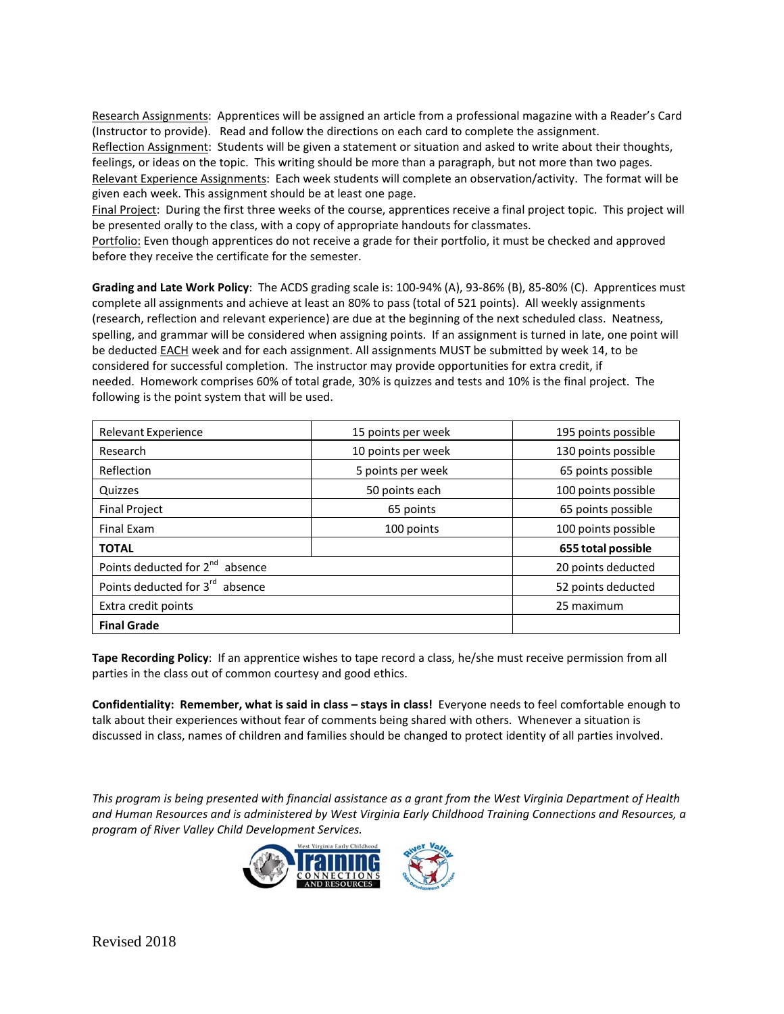Research Assignments: Apprentices will be assigned an article from a professional magazine with a Reader's Card (Instructor to provide). Read and follow the directions on each card to complete the assignment. Reflection Assignment: Students will be given a statement or situation and asked to write about their thoughts, feelings, or ideas on the topic. This writing should be more than a paragraph, but not more than two pages. Relevant Experience Assignments: Each week students will complete an observation/activity. The format will be given each week. This assignment should be at least one page.

Final Project: During the first three weeks of the course, apprentices receive a final project topic. This project will be presented orally to the class, with a copy of appropriate handouts for classmates.

Portfolio: Even though apprentices do not receive a grade for their portfolio, it must be checked and approved before they receive the certificate for the semester.

**Grading and Late Work Policy**: The ACDS grading scale is: 100-94% (A), 93-86% (B), 85-80% (C). Apprentices must complete all assignments and achieve at least an 80% to pass (total of 521 points). All weekly assignments (research, reflection and relevant experience) are due at the beginning of the next scheduled class. Neatness, spelling, and grammar will be considered when assigning points. If an assignment is turned in late, one point will be deducted EACH week and for each assignment. All assignments MUST be submitted by week 14, to be considered for successful completion. The instructor may provide opportunities for extra credit, if needed. Homework comprises 60% of total grade, 30% is quizzes and tests and 10% is the final project. The following is the point system that will be used.

| <b>Relevant Experience</b>                  | 15 points per week | 195 points possible |
|---------------------------------------------|--------------------|---------------------|
| Research                                    | 10 points per week | 130 points possible |
| Reflection                                  | 5 points per week  | 65 points possible  |
| Quizzes                                     | 50 points each     | 100 points possible |
| <b>Final Project</b>                        | 65 points          | 65 points possible  |
| <b>Final Exam</b>                           | 100 points         | 100 points possible |
| <b>TOTAL</b>                                |                    | 655 total possible  |
| Points deducted for 2 <sup>nd</sup> absence | 20 points deducted |                     |
| Points deducted for 3 <sup>rd</sup> absence | 52 points deducted |                     |
| Extra credit points                         | 25 maximum         |                     |
| <b>Final Grade</b>                          |                    |                     |

**Tape Recording Policy**: If an apprentice wishes to tape record a class, he/she must receive permission from all parties in the class out of common courtesy and good ethics.

**Confidentiality: Remember, what is said in class – stays in class!** Everyone needs to feel comfortable enough to talk about their experiences without fear of comments being shared with others. Whenever a situation is discussed in class, names of children and families should be changed to protect identity of all parties involved.

*This program is being presented with financial assistance as a grant from the West Virginia Department of Health and Human Resources and is administered by West Virginia Early Childhood Training Connections and Resources, a program of River Valley Child Development Services.*